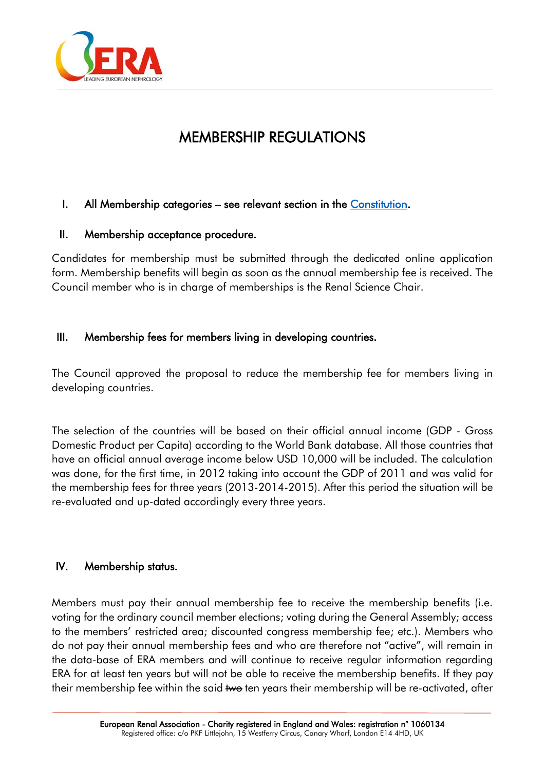

# MEMBERSHIP REGULATIONS

# I. All Membership categories – see relevant section in the [Constitution.](https://www.era-online.org/en/about-era/governance/constitution/)

## II. Membership acceptance procedure.

Candidates for membership must be submitted through the dedicated online application form. Membership benefits will begin as soon as the annual membership fee is received. The Council member who is in charge of memberships is the Renal Science Chair.

# III. Membership fees for members living in developing countries.

The Council approved the proposal to reduce the membership fee for members living in developing countries.

The selection of the countries will be based on their official annual income (GDP - Gross Domestic Product per Capita) according to the World Bank database. All those countries that have an official annual average income below USD 10,000 will be included. The calculation was done, for the first time, in 2012 taking into account the GDP of 2011 and was valid for the membership fees for three years (2013-2014-2015). After this period the situation will be re-evaluated and up-dated accordingly every three years.

## IV. Membership status.

Members must pay their annual membership fee to receive the membership benefits (i.e. voting for the ordinary council member elections; voting during the General Assembly; access to the members' restricted area; discounted congress membership fee; etc.). Members who do not pay their annual membership fees and who are therefore not "active", will remain in the data-base of ERA members and will continue to receive regular information regarding ERA for at least ten years but will not be able to receive the membership benefits. If they pay their membership fee within the said two ten years their membership will be re-activated, after